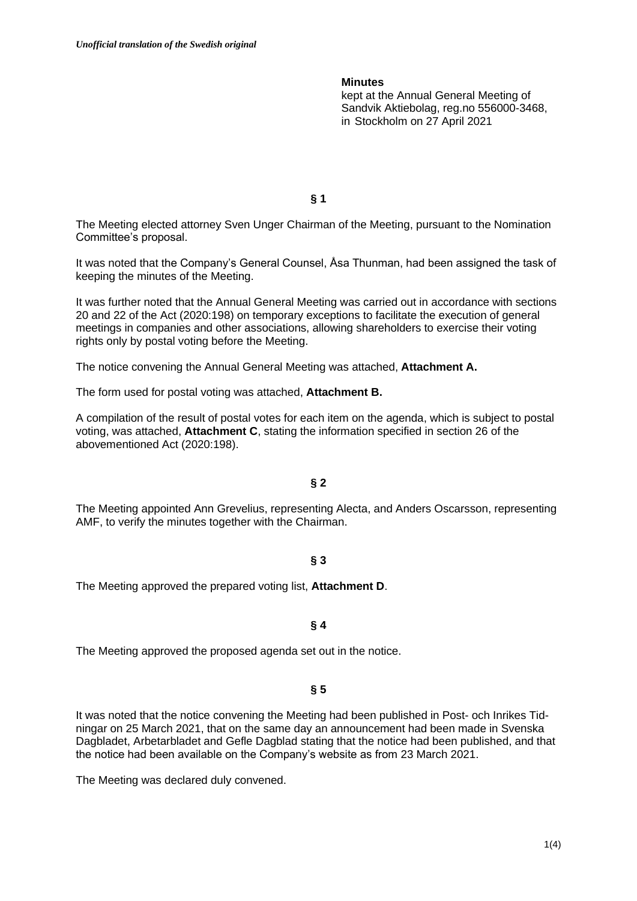## **Minutes**

kept at the Annual General Meeting of Sandvik Aktiebolag, reg.no 556000-3468, in Stockholm on 27 April 2021

**§ 1**

The Meeting elected attorney Sven Unger Chairman of the Meeting, pursuant to the Nomination Committee's proposal.

It was noted that the Company's General Counsel, Åsa Thunman, had been assigned the task of keeping the minutes of the Meeting.

It was further noted that the Annual General Meeting was carried out in accordance with sections 20 and 22 of the Act (2020:198) on temporary exceptions to facilitate the execution of general meetings in companies and other associations, allowing shareholders to exercise their voting rights only by postal voting before the Meeting.

The notice convening the Annual General Meeting was attached, **Attachment A.**

The form used for postal voting was attached, **Attachment B.**

A compilation of the result of postal votes for each item on the agenda, which is subject to postal voting, was attached, **Attachment C**, stating the information specified in section 26 of the abovementioned Act (2020:198).

## **§ 2**

The Meeting appointed Ann Grevelius, representing Alecta, and Anders Oscarsson, representing AMF, to verify the minutes together with the Chairman.

### **§ 3**

The Meeting approved the prepared voting list, **Attachment D**.

## **§ 4**

The Meeting approved the proposed agenda set out in the notice.

### **§ 5**

It was noted that the notice convening the Meeting had been published in Post- och Inrikes Tidningar on 25 March 2021, that on the same day an announcement had been made in Svenska Dagbladet, Arbetarbladet and Gefle Dagblad stating that the notice had been published, and that the notice had been available on the Company's website as from 23 March 2021.

The Meeting was declared duly convened.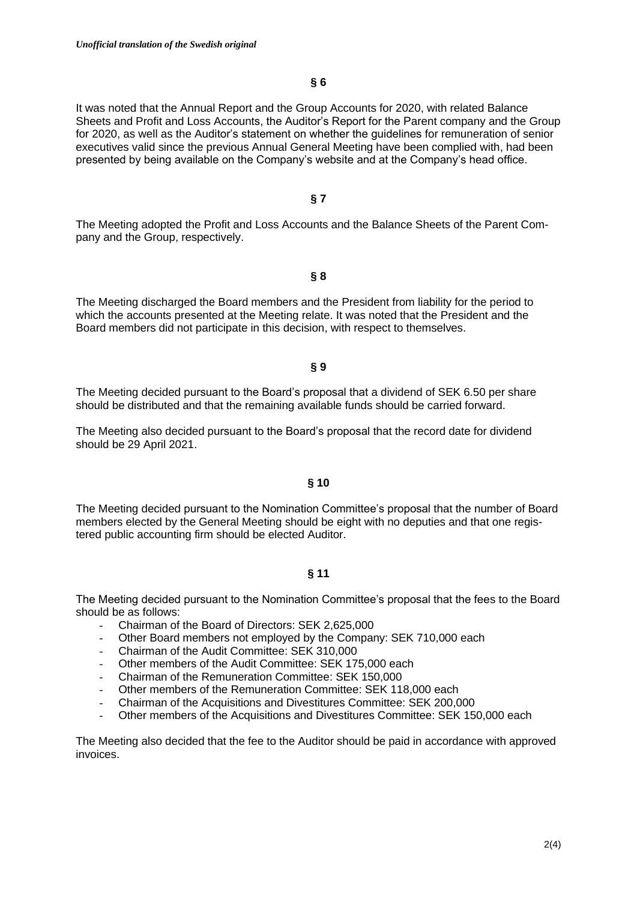# **§ 6**

It was noted that the Annual Report and the Group Accounts for 2020, with related Balance Sheets and Profit and Loss Accounts, the Auditor's Report for the Parent company and the Group for 2020, as well as the Auditor's statement on whether the guidelines for remuneration of senior executives valid since the previous Annual General Meeting have been complied with, had been presented by being available on the Company's website and at the Company's head office.

## **§ 7**

The Meeting adopted the Profit and Loss Accounts and the Balance Sheets of the Parent Company and the Group, respectively.

# **§ 8**

The Meeting discharged the Board members and the President from liability for the period to which the accounts presented at the Meeting relate. It was noted that the President and the Board members did not participate in this decision, with respect to themselves.

#### **§ 9**

The Meeting decided pursuant to the Board's proposal that a dividend of SEK 6.50 per share should be distributed and that the remaining available funds should be carried forward.

The Meeting also decided pursuant to the Board's proposal that the record date for dividend should be 29 April 2021.

### **§ 10**

The Meeting decided pursuant to the Nomination Committee's proposal that the number of Board members elected by the General Meeting should be eight with no deputies and that one registered public accounting firm should be elected Auditor.

# **§ 11**

The Meeting decided pursuant to the Nomination Committee's proposal that the fees to the Board should be as follows:

- Chairman of the Board of Directors: SEK 2,625,000
- Other Board members not employed by the Company: SEK 710,000 each
- Chairman of the Audit Committee: SEK 310,000
- Other members of the Audit Committee: SEK 175,000 each
- Chairman of the Remuneration Committee: SEK 150,000
- Other members of the Remuneration Committee: SEK 118,000 each
- Chairman of the Acquisitions and Divestitures Committee: SEK 200,000
- Other members of the Acquisitions and Divestitures Committee: SEK 150,000 each

The Meeting also decided that the fee to the Auditor should be paid in accordance with approved invoices.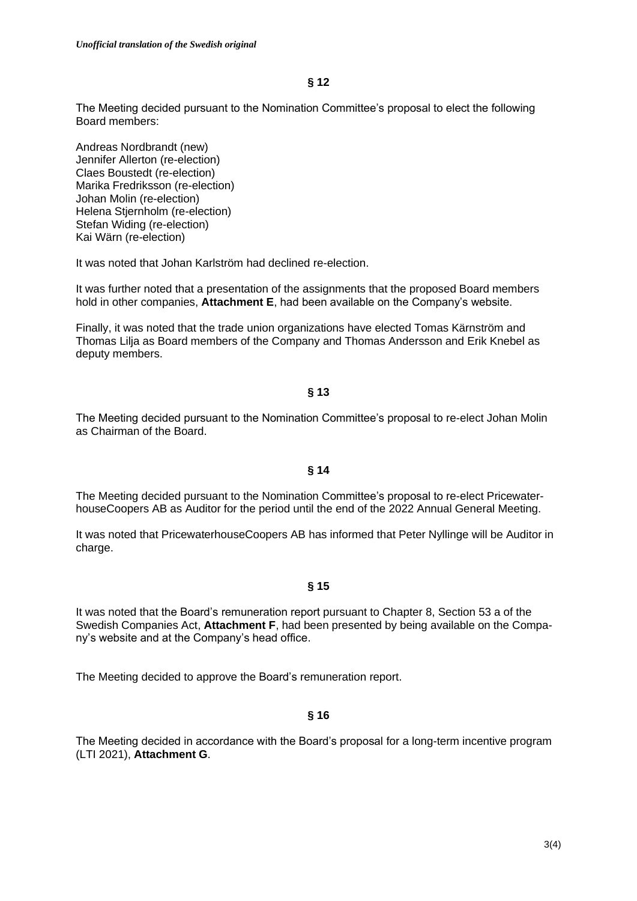The Meeting decided pursuant to the Nomination Committee's proposal to elect the following Board members:

Andreas Nordbrandt (new) Jennifer Allerton (re-election) Claes Boustedt (re-election) Marika Fredriksson (re-election) Johan Molin (re-election) Helena Stjernholm (re-election) Stefan Widing (re-election) Kai Wärn (re-election)

It was noted that Johan Karlström had declined re-election.

It was further noted that a presentation of the assignments that the proposed Board members hold in other companies, **Attachment E**, had been available on the Company's website.

Finally, it was noted that the trade union organizations have elected Tomas Kärnström and Thomas Lilja as Board members of the Company and Thomas Andersson and Erik Knebel as deputy members.

## **§ 13**

The Meeting decided pursuant to the Nomination Committee's proposal to re-elect Johan Molin as Chairman of the Board.

## **§ 14**

The Meeting decided pursuant to the Nomination Committee's proposal to re-elect PricewaterhouseCoopers AB as Auditor for the period until the end of the 2022 Annual General Meeting.

It was noted that PricewaterhouseCoopers AB has informed that Peter Nyllinge will be Auditor in charge.

## **§ 15**

It was noted that the Board's remuneration report pursuant to Chapter 8, Section 53 a of the Swedish Companies Act, **Attachment F**, had been presented by being available on the Company's website and at the Company's head office.

The Meeting decided to approve the Board's remuneration report.

## **§ 16**

The Meeting decided in accordance with the Board's proposal for a long-term incentive program (LTI 2021), **Attachment G**.